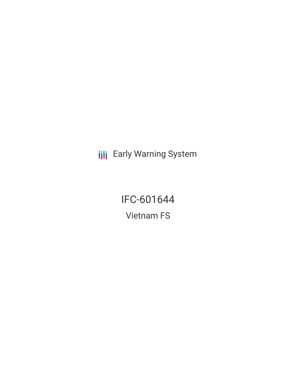**III** Early Warning System

IFC-601644 Vietnam FS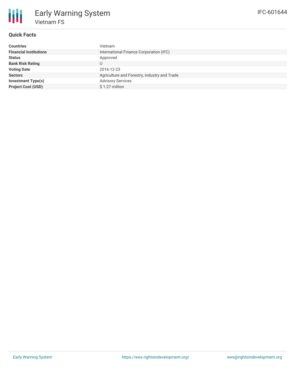

## **Quick Facts**

| <b>Countries</b>              | Vietnam                                      |
|-------------------------------|----------------------------------------------|
| <b>Financial Institutions</b> | International Finance Corporation (IFC)      |
| <b>Status</b>                 | Approved                                     |
| <b>Bank Risk Rating</b>       |                                              |
| <b>Voting Date</b>            | 2016-12-23                                   |
| <b>Sectors</b>                | Agriculture and Forestry, Industry and Trade |
| <b>Investment Type(s)</b>     | <b>Advisory Services</b>                     |
| <b>Project Cost (USD)</b>     | \$1.27 million                               |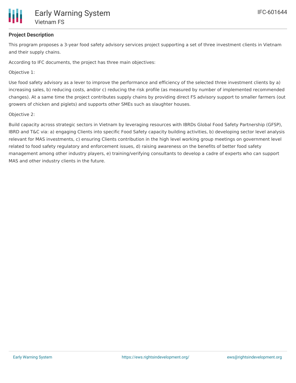

### **Project Description**

This program proposes a 3-year food safety advisory services project supporting a set of three investment clients in Vietnam and their supply chains.

According to IFC documents, the project has three main objectives:

Objective 1:

Use food safety advisory as a lever to improve the performance and efficiency of the selected three investment clients by a) increasing sales, b) reducing costs, and/or c) reducing the risk profile (as measured by number of implemented recommended changes). At a same time the project contributes supply chains by providing direct FS advisory support to smaller farmers (out growers of chicken and piglets) and supports other SMEs such as slaughter houses.

#### Objective 2:

Build capacity across strategic sectors in Vietnam by leveraging resources with IBRDs Global Food Safety Partnership (GFSP), IBRD and T&C via: a) engaging Clients into specific Food Safety capacity building activities, b) developing sector level analysis relevant for MAS investments, c) ensuring Clients contribution in the high level working group meetings on government level related to food safety regulatory and enforcement issues, d) raising awareness on the benefits of better food safety management among other industry players, e) training/verifying consultants to develop a cadre of experts who can support MAS and other industry clients in the future.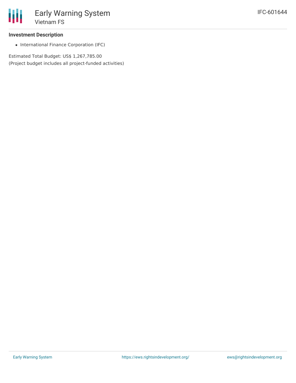#### **Investment Description**

• International Finance Corporation (IFC)

Estimated Total Budget: US\$ 1,267,785.00 (Project budget includes all project-funded activities)